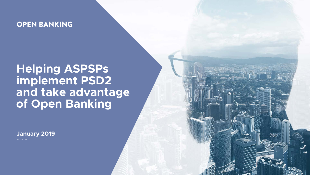

Version 1.36





# **Helping ASPSPs implement PSD2 and take advantage of Open Banking**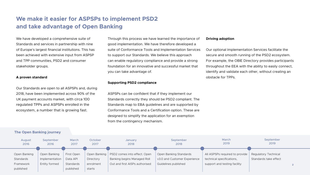

## **We make it easier for ASPSPs to implement PSD2 and take advantage of Open Banking**

We have developed a comprehensive suite of Standards and services in partnership with nine of Europe's largest financial institutions. This has been achieved with extensive input from ASPSP and TPP communities, PSD2 and consumer stakeholder groups.

#### **A proven standard**

Our Standards are open to all ASPSPs and, during 2018, have been implemented across 90% of the UK payment accounts market, with circa 100 regulated TPPs and ASPSPs enrolled in the ecosystem, a number that is growing fast.



#### March 2019 September 2018 September 2019 Open Banking Standards v3.0 and Customer Experience Guidelines published All ASPSPs required to provide technical specifications, support and testing facility Regulatory Technical Standards take effect

#### **The Open Banking journey**

Through this process we have learned the importance of good implementation. We have therefore developed a suite of Conformance Tools and Implementation Services to support our Standards. We believe this approach can enable regulatory compliance and provide a strong foundation for an innovative and successful market that you can take advantage of.

#### **Supporting PSD2 compliance**

ASPSPs can be confident that if they implement our Standards correctly they should be PSD2 compliant. The Standards map to EBA guidelines and are supported by Conformance Tools and a Certification option. These are designed to simplify the application for an exemption from the contingency mechanism.

#### **Driving adoption**

Our optional Implementation Services facilitate the secure and smooth running of the PSD2 ecosystem. For example, the OBIE Directory provides participants throughout the EEA with the ability to easily connect, identify and validate each other, without creating an obstacle for TPPs.

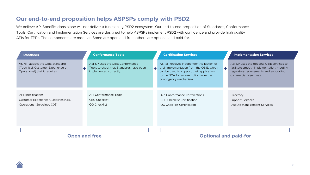

## **Our end-to-end proposition helps ASPSPs comply with PSD2**

> **Directory** Support Services Dispute Management Services

#### **Open and free Optional and paid-for**

ASPSP uses the optional OBIE services to facilitate smooth implementation, meeting regulatory requirements and supporting commercial objectives.

| <b>Standards</b>                                                                                        |   | <b>Conformance Tools</b>                                                                             |   | <b>Certification Services</b>                                                                                                                                                                       |  |
|---------------------------------------------------------------------------------------------------------|---|------------------------------------------------------------------------------------------------------|---|-----------------------------------------------------------------------------------------------------------------------------------------------------------------------------------------------------|--|
| ASPSP adopts the OBIE Standards<br>(Technical, Customer Experience or<br>Operational) that it requires. | ╉ | ASPSP uses the OBIE Conformance<br>Tools to check that Standards have been<br>implemented correctly. | ÷ | ASPSP receives independent validation of<br>their implementation from the OBIE, which<br>can be used to support their application<br>to the NCA for an exemption from the<br>contingency mechanism. |  |
|                                                                                                         |   |                                                                                                      |   |                                                                                                                                                                                                     |  |
| <b>API Specifications</b>                                                                               |   | <b>API Conformance Tools</b>                                                                         |   | <b>API Conformance Certifications</b>                                                                                                                                                               |  |
| <b>Customer Experience Guidelines (CEG)</b>                                                             |   | <b>CEG Checklist</b>                                                                                 |   | <b>CEG Checklist Certification</b>                                                                                                                                                                  |  |
| Operational Guidelines (OG)                                                                             |   | <b>OG Checklist</b>                                                                                  |   | <b>OG Checklist Certification</b>                                                                                                                                                                   |  |
|                                                                                                         |   |                                                                                                      |   |                                                                                                                                                                                                     |  |
|                                                                                                         |   |                                                                                                      |   |                                                                                                                                                                                                     |  |
|                                                                                                         |   |                                                                                                      |   |                                                                                                                                                                                                     |  |
|                                                                                                         |   |                                                                                                      |   |                                                                                                                                                                                                     |  |
|                                                                                                         |   | and the contract                                                                                     |   | and the con-                                                                                                                                                                                        |  |



#### **Standards Certification Services Implementation Services**

We believe API Specifications alone will not deliver a functioning PSD2 ecosystem. Our end-to-end proposition of Standards, Conformance Tools, Certification and Implementation Services are designed to help ASPSPs implement PSD2 with confidence and provide high quality APIs for TPPs. The components are modular. Some are open and free, others are optional and paid-for.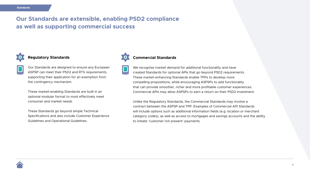

### **Our Standards are extensible, enabling PSD2 compliance as well as supporting commercial success**



#### **Regulatory Standards**



Our Standards are designed to ensure any European ASPSP can meet their PSD2 and RTS requirements, supporting their application for an exemption from the contingency mechanism.

These market-enabling Standards are built in an optional modular format to most effectively meet consumer and market needs.

These Standards go beyond simple Technical Specifications and also include Customer Experience Guidelines and Operational Guidelines.





#### **Commercial Standards**

We recognise market demand for additional functionality and have created Standards for optional APIs that go beyond PSD2 requirements. These market-enhancing Standards enable TPPs to develop more compelling propositions, while encouraging ASPSPs to add functionality that can provide smoother, richer and more profitable customer experiences. Commercial APIs may allow ASPSPs to earn a return on their PSD2 investment.

Unlike the Regulatory Standards, the Commercial Standards may involve a contract between the ASPSP and TPP. Examples of Commercial API Standards will include options such as additional information fields (e.g. location or merchant category codes), as well as access to mortgages and savings accounts and the ability to initiate 'customer not present' payments.

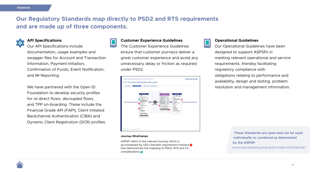**5**

## **Our Regulatory Standards map directly to PSD2 and RTS requirements and are made up of three components.**



#### **API Specifications**

Our API Specifications include documentation, usage examples and swagger files for Account and Transaction Information, Payment Initiation, Confirmation of Funds, Event Notification, and MI Reporting.

We have partnered with the Open ID Foundation to develop security profiles for re-direct flows, decoupled flows, and TPP on-boarding. These include the Financial Grade API (FAPI), Client Initiated Backchannel Authentication (CIBA) and Dynamic Client Registration (DCR) profiles.



**These Standards are open and can be used individually or combined as determined by the ASPSP:**

www.openbanking.org.uk/providers/standards/



#### **Customer Experience Guidelines**



The Customer Experience Guidelines ensure that customer journeys deliver a great customer experience and avoid any unnecessary delay or friction as required under PSD2.



#### **Operational Guidelines**

Our Operational Guidelines have been designed to support ASPSPs in meeting relevant operational and service requirements, thereby facilitating regulatory compliance with obligations relating to performance and availability, design and testing, problem resolution and management information.

#### **Journey Wireframes**

ASPSP refers to the relevant journey which is accompanied by CEG Checklist requirement markers **2** that demonstrate the mapping to PSD2, RTS and CX considerations **2**

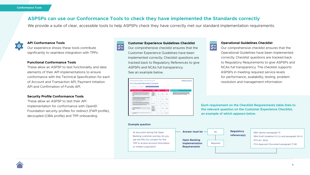

We provide a suite of clear, accessible tools to help ASPSPs check they have correctly met our standard implementation requirements.



#### **API Conformance Tools**

Our experience shows these tools contribute significantly to seamless integration with TPPs.

#### **Functional Conformance Tools**

These allow an ASPSP to test functionality and data elements of their API implementations to ensure conformance with the Technical Specification for each of Account and Transaction API, Payment Initiation API and Confirmation of Funds API.

#### **Security Profile Conformance Tools**

These allow an ASPSP to test their API implementation for conformance with OpenID Foundation security profiles for redirect (FAPI profile), decoupled (CIBA profile) and TPP onboarding.



#### **Customer Experience Guidelines Checklist**





Our comprehensive checklist ensures that the Customer Experience Guidelines have been implemented correctly. Checklist questions are tracked back to Regulatory References to give ASPSPs and NCAs full transparency. See an example below.

| <b>CONTRACTOR</b><br>Customer Experience Guidelines / Ac<br>3.1.1 Account Infor                                                                                                                                                                                                                                                                                                       |
|---------------------------------------------------------------------------------------------------------------------------------------------------------------------------------------------------------------------------------------------------------------------------------------------------------------------------------------------------------------------------------------|
| USA SAFER<br>Westman,                                                                                                                                                                                                                                                                                                                                                                 |
| CEG Checkfut Requirements                                                                                                                                                                                                                                                                                                                                                             |
| The ARP meet powds the FIS/authorization is<br>make an enterroom decumes, for excerpant, delup the corp.<br>will as anyi crewding photography offer particularly has<br>Mundol, foreful as with the law house<br>concent for the actioust selectronic set-angles changes<br>an uki                                                                                                    |
| The ANY waat provide ins PSJ with a description of B<br>using the detailians and nanguage insurrenewalked by USS<br>meant jare Dea Deda Brahes & Language below<br>The ANP meet present the basic at prove those board<br>and the touch of detail to detail again clubs Ferrinance<br>Description management the POU art harden less in<br>take applied 3 (11 Key resource classroom) |
| If the RUTOF pression at option he first fits to your tre-<br>conserted to share with the AUV as equipmentary out<br>dures carried in despite in and large-rack teleprotectural to<br>instream release these Date Durier Binghara & Lange<br>such distribution record and he privated to the FTEL as a                                                                                |
| The AGPSF south cut and customator of the current<br>provided by the PELI to No. 5007.<br>. Do a few PSC has attended by your<br><b>NAVADRA</b>                                                                                                                                                                                                                                       |
| <b>BANTO DA ITOJ</b>                                                                                                                                                                                                                                                                                                                                                                  |

#### **Operational Guidelines Checklist**

Our comprehensive checklist ensures that the Operational Guidelines have been implemented correctly. Checklist questions are tracked back to Regulatory Requirements to give ASPSPs and NCAs full transparency. The checklist supports ASPSPs in meeting required service levels for performance, availability, testing, problem resolution and management information.

#### **Example question**







or initiate a payment?



**Each requirement on the Checklist Requirements table links to the relevant question on the Customer Experience Checklist, an example of which appears below.**

### **ASPSPs can use our Conformance Tools to check they have implemented the Standards correctly**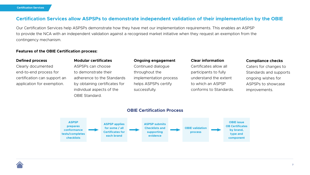

### **Certification Services allow ASPSPs to demonstrate independent validation of their implementation by the OBIE**

Our Certification Services help ASPSPs demonstrate how they have met our implementation requirements. This enables an ASPSP to provide the NCA with an independent validation against a recognised market initiative when they request an exemption from the contingency mechanism.

#### **Defined process**

Clearly documented end-to-end process for certification can support an application for exemption.

#### **Modular certificates**

ASPSPs can choose to demonstrate their adherence to the Standards by obtaining certificates for individual aspects of the OBIE Standard.

#### **Clear information**

Certificates allow all participants to fully understand the extent to which an ASPSP conforms to Standards.

#### **Compliance checks**

Caters for changes to Standards and supports ongoing wishes for ASPSPs to showcase improvements.

#### **Ongoing engagement**

Continued dialogue throughout the implementation process helps ASPSPs certify successfully.





#### **Features of the OBIE Certification process:**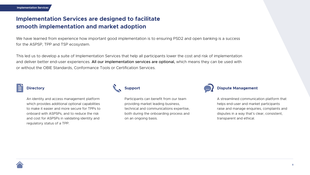

## **Implementation Services are designed to facilitate smooth implementation and market adoption**

We have learned from experience how important good implementation is to ensuring PSD2 and open banking is a success for the ASPSP, TPP and TSP ecosystem.

This led us to develop a suite of Implementation Services that help all participants lower the cost and risk of implementation and deliver better end-user experiences. All our implementation services are optional, which means they can be used with or without the OBIE Standards, Conformance Tools or Certification Services.

## **Directory**

An identity and access management platform which provides additional optional capabilities to make it easier and more secure for TPPs to onboard with ASPSPs, and to reduce the risk and cost for ASPSPs in validating identity and regulatory status of a TPP.



Participants can benefit from our team providing market leading business, technical and communications expertise, both during the onboarding process and on an ongoing basis.





A streamlined communication platform that helps end-user and market participants raise and manage enquiries, complaints and disputes in a way that's clear, consistent, transparent and ethical.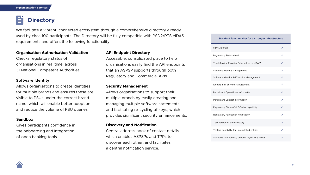



We facilitate a vibrant, connected ecosystem through a comprehensive directory already used by circa 100 participants. The Directory will be fully compatible with PSD2/RTS eIDAS requirements and offers the following functionality:

#### **Organisation Authorisation Validation**

Checks regulatory status of organisations in real time, across 31 National Competent Authorities.

#### **Software Identity**

Allows organisations to create identities for multiple brands and ensures these are visible to PSUs under the correct brand name, which will enable better adoption and reduce the volume of PSU queries.

#### **Security Management**

Allows organisations to support their multiple brands by easily creating and managing multiple software statements, and facilitating re-cycling of keys, which provides significant security enhancements.

#### **Discovery and Notification**

Central address book of contact details which enables ASPSPs and TPPs to discover each other, and facilitates a central notification service.



### **API Endpoint Directory**

Accessible, consolidated place to help organisations easily find the API endpoints that an ASPSP supports through both Regulatory and Commercial APIs.

#### **Sandbox**

Gives participants confidence in the onboarding and integration of open banking tools.

#### **Standout functionality for a stronger infrastructure**

| elDAS lookup                                   |              |
|------------------------------------------------|--------------|
| <b>Regulatory Status check</b>                 |              |
| Trust Service Provider (alternative to eIDAS)  | $\checkmark$ |
| Software Identity Management                   | ✓            |
| Software Identity Self Service Management      |              |
| <b>Identity Self Service Management</b>        |              |
| <b>Participant Operational Information</b>     | $\checkmark$ |
| <b>Participant Contact Information</b>         | $\checkmark$ |
| Regulatory Status Call / Cache capability      |              |
| Regulatory revocation notification             |              |
| Test version of the Directory                  |              |
| Testing capability for unregulated entities    |              |
| Supports functionality beyond regulatory needs |              |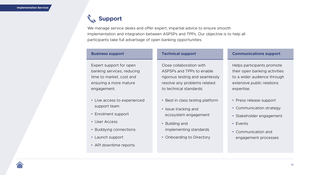

We manage service desks and offer expert, impartial advice to ensure smooth implementation and integration between ASPSPs and TPPs. Our objective is to help all participants take full advantage of open banking opportunities.

#### **Business support**

Expert support for open banking services, reducing time to market, cost and ensuring a more mature engagement.

- Live access to experienced support team
- Enrolment support
- User Access
- Buddying connections
- Launch support
- API downtime reports



#### **Technical support**

Close collaboration with ASPSPs and TPPs to enable rigorous testing and seamlessly resolve any problems related to technical standards.

- Best in class testing platform
- Issue tracking and ecosystem engagement
- Building and implementing standards
- Onboarding to Directory

#### **Communications support**

Helps participants promote their open banking activities to a wider audience through extensive public relations expertise.

- Press release support
- Communication strategy
- Stakeholder engagement
- Events
- Communication and engagement processes



## **Support**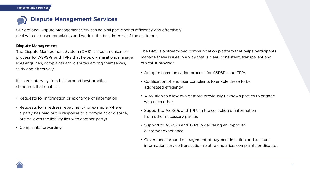

### **Dispute Management Services**  $\bullet \bullet \bullet$

Our optional Dispute Management Services help all participants efficiently and effectively deal with end-user complaints and work in the best interest of the customer.

#### **Dispute Management**

| The Dispute Management System (DMS) is a communication      | Th                 |  |  |  |
|-------------------------------------------------------------|--------------------|--|--|--|
| process for ASPSPs and TPPs that helps organisations manage | ma                 |  |  |  |
| PSU enquiries, complaints and disputes among themselves,    |                    |  |  |  |
| fairly and effectively.                                     |                    |  |  |  |
|                                                             | $\bullet$ /        |  |  |  |
| It's a voluntary system built around best practice          |                    |  |  |  |
| standards that enables:                                     | $\tilde{\epsilon}$ |  |  |  |
| • Requests for information or exchange of information       | $\bullet$ /        |  |  |  |
|                                                             | $\sqrt{2}$         |  |  |  |
| • Requests for a redress repayment (for example, where      | $\bullet$ (        |  |  |  |
| a party has paid out in response to a complaint or dispute, | $\mathsf f$        |  |  |  |
| but believes the liability lies with another party)         |                    |  |  |  |
| • Complaints forwarding                                     |                    |  |  |  |
|                                                             |                    |  |  |  |
|                                                             |                    |  |  |  |
|                                                             |                    |  |  |  |



Ie DMS is a streamlined communication platform that helps participants anage these issues in a way that is clear, consistent, transparent and hical. It provides:

An open communication process for ASPSPs and TPPs

Codification of end user complaints to enable these to be addressed efficiently

A solution to allow two or more previously unknown parties to engage with each other

Support to ASPSPs and TPPs in the collection of information from other necessary parties

Support to ASPSPs and TPPs in delivering an improved customer experience

Governance around management of payment initiation and account information service transaction-related enquiries, complaints or disputes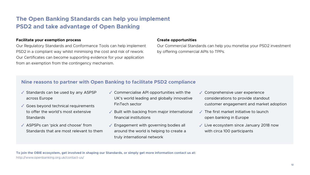

### **The Open Banking Standards can help you implement PSD2 and take advantage of Open Banking**

#### **Facilitate your exemption process**

Our Regulatory Standards and Conformance Tools can help implement PSD2 in a compliant way whilst minimising the cost and risk of rework. Our Certificates can become supporting evidence for your application from an exemption from the contingency mechanism. Our Commercial Standards can help you monetise your PSD2 investment by offering commercial APIs to TPPs.

#### **Create opportunities**

### **Nine reasons to partner with Open Banking to facilitate PSD2 compliance**

- ✔ Standards can be used by any ASPSP ↓ across Europe
- ✔ Goes beyond technical requirements to offer the world's most extensive **Standards**
- ◆ ASPSPs can 'pick and choose' from Standards that are most relevant to them ✔ ASPSPs can 'pick and choose' from ↓ Engagement with governing bodies all ↓
- ◆ Commercialise API opportunities with the UK's world leading and globally innovative FinTech sector
- ✔ Built with backing from major international ↓ financial institutions
- around the world is helping to create a truly international network

**To join the OBIE ecosystem, get involved in shaping our Standards, or simply get more information contact us at:**  http://www.openbanking.org.uk/contact-us/

- ✔ Comprehensive user experience considerations to provide standout customer engagement and market adoption
- $\checkmark$  The first market initiative to launch open banking in Europe
- Live ecosystem since January 2018 now with circa 100 participants